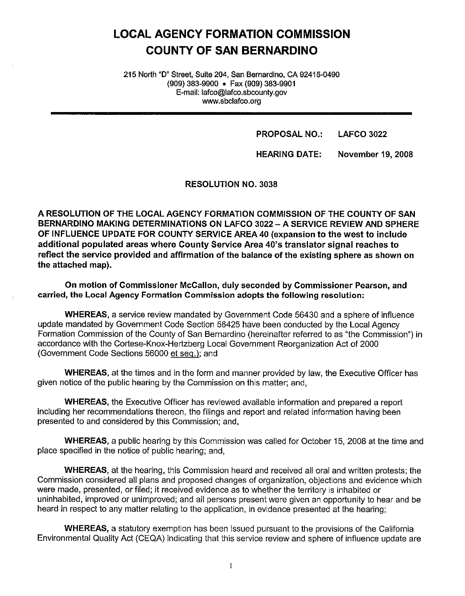# **LOCAL AGENCY FORMATION COMMISSION COUNTY OF SAN BERNARDINO**

215 North "D" Street, Suite 204, San Bernardino, CA 92415-0490 (909) 383-9900 • Fax (909) 383-9901 E-mail: lafco@lafco.sbcounty.gov www.sbclafco.org

> **PROPOSAL NO.: LAFCO 3022**

**HEARING DATE: November** 19, **2008** 

RESOLUTION NO. 3038

**A RESOLUTION OF THE LOCAL AGENCY FORMATION COMMISSION OF THE COUNTY OF SAN BERNARDINO MAKING DETERMINATIONS ON LAFCO 3022 -A SERVICE REVIEW AND SPHERE OF INFLUENCE UPDATE FOR COUNTY SERVICE AREA 40 (expansion to the west to include additional populated areas where County Service Area 40's translator signal reaches to reflect the service provided and affirmation of the balance of the existing sphere as shown on the attached map).** 

**On motion of Commissioner McCallon, duly seconded by Commissioner Pearson, and carried, the Local Agency Formation Commission adopts the following resolution:** 

**WHEREAS,** a service review mandated by Government Code 56430 and a sphere of influence update mandated by Government Code Section 56425 have been conducted by the Local Agency Formation Commission of the County of San Bernardino (hereinafter referred to as "the Commission") in accordance with the Cortese-Knox-Hertzberg Local Government Reorganization Act of 2000 (Government Code Sections 56000 et seq.); and

**WHEREAS,** at the times and in the form and manner provided by law, the Executive Officer has given notice of the public hearing by the Commission on this matter; and,

**WHEREAS,** the Executive Officer has reviewed available information and prepared a report including her recommendations thereon, the filings and report and related information having been presented to and considered by this Commission; and,

**WHEREAS,** a public hearing by this Commission was called for October 15, 2008 at the time and place specified in the notice of public hearing; and,

**WHEREAS,** at the hearing, this Commission heard and received all oral and written protests; the Commission considered all plans and proposed changes of organization, objections and evidence which were made, presented, or filed; it received evidence as to whether the territory is inhabited or uninhabited, improved or unimproved; and all persons present were given an opportunity to hear and be heard in respect to any matter relating to the application, in evidence presented at the hearing;

**WHEREAS,** a statutory exemption has been issued pursuant to the provisions of the California Environmental Quality Act (CEQA) indicating that this service review and sphere of influence update are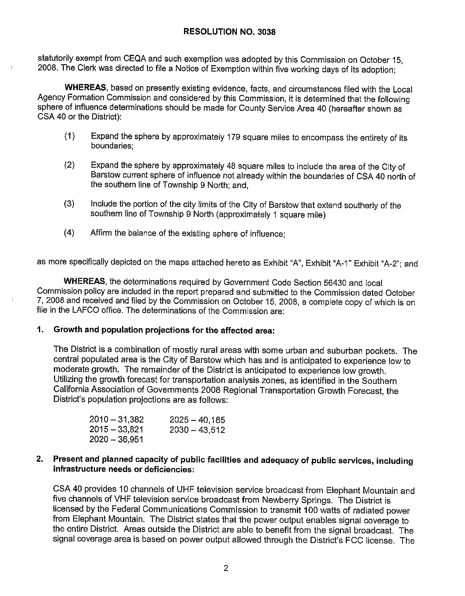#### **RESOLUTION NO. 3038**

statutorily exempt from CEQA and such exemption was adopted by this Commission on October 15, 2008. The Clerk was directed to file a Notice of Exemption within five working days of its adoption;

**WHEREAS,** based on presently existing evidence, facts, and circumstances filed with the Local Agency Formation Commission and considered by this Commission, it is determined that the following sphere of influence determinations should be made for County Service Area 40 (hereafter shown as CSA 40 or the District):

- (1) Expand the sphere by approximately 179 square miles to encompass the entirety of its boundaries;
- (2) Expand the sphere by approximately 48 square miles to include the area of the City of Barstow current sphere of influence not already within the boundaries of CSA 40 north of the southern line of Township 9 North; and,
- (3) Include the portion of the city limits of the City of Barstow that extend southerly of the southern line of Township 9 North (approximately 1 square mile)
- (4) Affirm the balance of the existing sphere of influence;

as more specifically depicted on the maps attached hereto as Exhibit "A", Exhibit "A-1" Exhibit "A-2"; and

**WHEREAS,** the determinations required by Government Code Section 56430 and local Commission policy are included in the report prepared and submitted to the Commission dated October 7, 2008 and received and filed by the Commission on October 15, 2008, a complete copy of which is on file in the LAFCO office. The determinations of the Commission are:

#### **1. Growth and population projections for the affected area:**

The District is a combination of mostly rural areas with some urban and suburban pockets. The central populated area is the City of Barstow which has and is anticipated to experience low to moderate growth. The remainder of the District is anticipated to experience low growth. Utilizing the growth forecast for transportation analysis zones, as identified in the Southern California Association of Governments 2008 Regional Transportation Growth Forecast, the District's population projections are as follows:

| $2010 - 31,382$ | $2025 - 40,185$ |
|-----------------|-----------------|
| $2015 - 33,821$ | $2030 - 43,512$ |
| $2020 - 36,951$ |                 |

#### **2. Present and planned capacity of public facilities and adequacy of public services, including infrastructure needs or deficiencies:**

CSA 40 provides 10 channels of UHF television service broadcast from Elephant Mountain and five channels of VHF television service broadcast from Newberry Springs. The District is licensed by the Federal Communications Commission to transmit 100 watts of radiated power from Elephant Mountain. The District states that the power output enables signal coverage to the entire District. Areas outside the District are able to benefit from the signal broadcast. The signal coverage area is based on power output allowed through the District's FCC license. The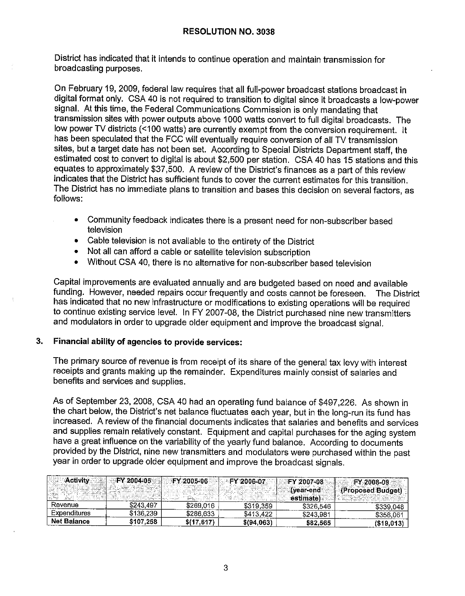District has indicated that it intends to continue operation and maintain transmission for broadcasting purposes.

On February 19, 2009, federal law requires that all full-power broadcast stations broadcast in digital format only. CSA 40 is not required to transition to digital since it broadcasts a low-power signal. At this time, the Federal Communications Commission is only mandating that transmission sites with power outputs above 1000 watts convert to full digital broadcasts. The low power TV districts (<100 watts) are currently exempt from the conversion requirement. It has been speculated that the FCC will eventually require conversion of all TV transmission sites, but a target date has not been set. According to Special Districts Department staff, the estimated cost to convert to digital is about \$2,500 per station. CSA 40 has 15 stations and this equates to approximately \$37,500. A review of the District's finances as a part of this review indicates that the District has sufficient funds to cover the current estimates for this transition. The District has no immediate plans to transition and bases this decision on several factors, as follows:

- Community feedback indicates there is a present need for non-subscriber based television
- Cable television is not available to the entirety of the District
- Not all can afford a cable or satellite television subscription
- Without CSA 40, there is no alternative for non-subscriber based television

Capital improvements are evaluated annually and are budgeted based on need and available funding. However, needed repairs occur frequently and costs cannot be foreseen. The District has indicated that no new infrastructure or modifications to existing operations will be required to continue existing service level. In FY 2007-08, the District purchased nine new transmitters and modulators in order to upgrade older equipment and improve the broadcast signal.

## **3. Financial ability of agencies to provide services:**

The primary source of revenue is from receipt of its share of the general tax levy with interest receipts and grants making up the remainder. Expenditures mainly consist of salaries and benefits and services and supplies.

As of September 23, 2008, CSA 40 had an operating fund balance of \$497,226. As shown in the chart below, the District's net balance fluctuates each year, but in the long-run its fund has increased. A review of the financial documents indicates that salaries and benefits and services and supplies remain relatively constant. Equipment and capital purchases for the aging system have a great influence on the variability of the yearly fund balance. According to documents provided by the District, nine new transmitters and modulators were purchased within the past year in order to upgrade older equipment and improve the broadcast signals.

| ை∆்கின்∰ை இ<br>2000 Ford St. 2000 | <b>EX 2004-05:</b> | E FY 2005-06 | ≕⊫PY*2006407. | <b>EXPLOSE 2007-08</b><br>ା‱ (vear-end″ | FY 2008-09<br>llocrafic<br>(Proposed Budget) |
|-----------------------------------|--------------------|--------------|---------------|-----------------------------------------|----------------------------------------------|
| --- -----                         |                    |              |               | estimate                                |                                              |
| Revenue                           | \$243.497          | \$269,016    | \$319,359     | \$326,546                               | \$339.048                                    |
| <b>Expenditures</b>               | \$136,239          | \$286.633    | \$413.422     | \$243.981                               | \$358,061                                    |
| <b>Net Balance</b>                | \$107,258          | \$(17, 617)  | \$(94,063)    | \$82.565                                | $($ \$19,013                                 |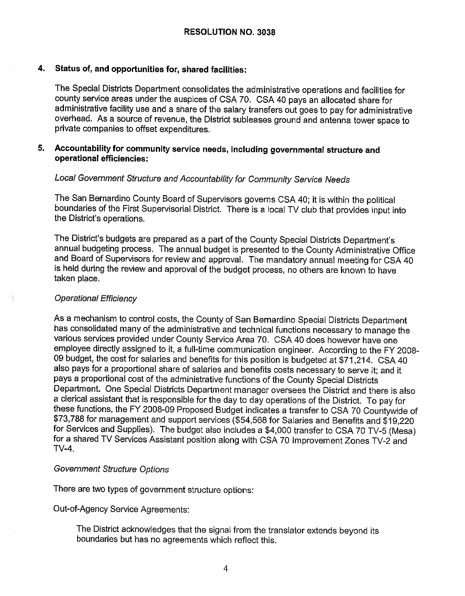#### **4. Status of, and opportunities for, shared facilities:**

The Special Districts Department consolidates the administrative operations and facilities for county service areas under the auspices of CSA 70. CSA 40 pays an allocated share for administrative facility use and a share of the salary transfers out goes to pay for administrative overhead. As a source of revenue, the District subleases ground and antenna tower space to private companies to offset expenditures.

# **5. Accountability for community service needs, including governmental structure and operational efficiencies:**

# Local Government Structure and Accountability for Community Service Needs

The San Bernardino County Board of Supervisors governs CSA 40; it is within the political boundaries of the First Supervisorial District. There is a local TV club that provides input into the District's operations.

The District's budgets are prepared as a part of the County Special Districts Department's annual budgeting process. The annual budget is presented to the County Administrative Office and Board of Supervisors for review and approval. The mandatory annual meeting for CSA 40 is held during the review and approval of the budget process, no others are known to have taken place.

#### Operational Efficiency

As a mechanism to control costs, the County of San Bernardino Special Districts Department has consolidated many of the administrative and technical functions necessary to manage the various services provided under County Service Area 70. CSA 40 does however have one employee directly assigned to it, a full-time communication engineer. According to the FY 2008- 09 budget, the cost for salaries and benefits for this position is budgeted at \$71,214. CSA 40 also pays for a proportional share of salaries and benefits costs necessary to serve it; and it pays a proportional cost of the administrative functions of the County Special Districts Department. One Special Districts Department manager oversees the District and there is also a clerical assistant that is responsible for the day to day operations of the District. To pay for these functions, the FY 2008-09 Proposed Budget indicates a transfer to CSA 70 Countywide of \$73,788 for management and support services (\$54,568 for Salaries and Benefits and \$19,220 for Services and Supplies). The budget also includes a \$4,000 transfer to CSA 70 TV-5 (Mesa) for a shared TV Services Assistant position along with CSA 70 Improvement Zones TV-2 and TV-4.

#### Government Structure Options

There are two types of government structure options:

Out-of-Agency Service Agreements:

The District acknowledges that the signal from the translator extends beyond its boundaries but has no agreements which reflect this.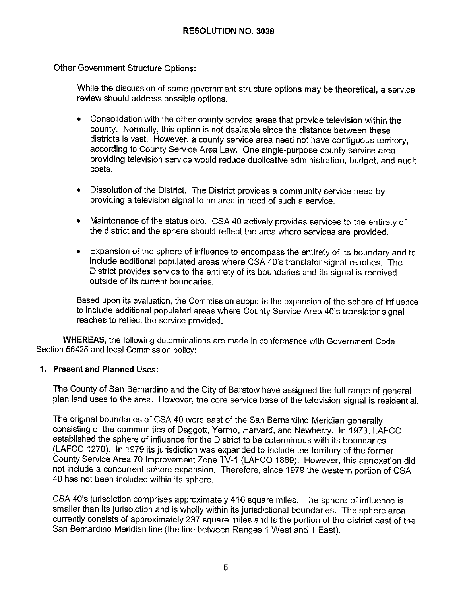Other Government Structure Options:

While the discussion of some government structure options may be theoretical, a service review should address possible options.

- Consolidation with the other county service areas that provide television within the county. Normally, this option is not desirable since the distance between these districts is vast. However, a county service area need not have contiguous territory, according to County Service Area Law. One single-purpose county service area providing television service would reduce duplicative administration, budget, and audit costs.
- Dissolution of the District. The District provides a community service need by providing a television signal to an area in need of such a service.
- Maintenance of the status quo. CSA 40 actively provides services to the entirety of the district and the sphere should reflect the area where services are provided.
- Expansion of the sphere of influence to encompass the entirety of its boundary and to include additional populated areas where CSA 40's translator signal reaches. The District provides service to the entirety of its boundaries and its signal is received outside of its current boundaries.

Based upon its evaluation, the Commission supports the expansion of the sphere of influence to include additional populated areas where County Service Area 40's translator signal reaches to reflect the service provided.

**WHEREAS,** the following determinations are made in conformance with Government Code Section 56425 and local Commission policy:

## **1. Present and Planned Uses:**

The County of San Bernardino and the City of Barstow have assigned the full range of general plan land uses to the area. However, the core service base of the television signal is residential.

The original boundaries of CSA 40 were east of the San Bernardino Meridian generally consisting of the communities of Daggett, Yermo, Harvard, and Newberry. In 1973, LAFCO established the sphere of influence for the District to be coterminous with its boundaries (LAFCO 1270). In 1979 its jurisdiction was expanded to include the territory of the former County Service Area 70 Improvement Zone TV-1 (LAFCO 1869). However, this annexation did not include a concurrent sphere expansion. Therefore, since 1979 the western portion of CSA 40 has not been included within its sphere.

CSA 40's jurisdiction comprises approximately 416 square miles. The sphere of influence is smaller than its jurisdiction and is wholly within its jurisdictional boundaries. The sphere area currently consists of approximately 237 square miles and is the portion of the district east of the San Bernardino Meridian line (the line between Ranges 1 West and 1 East).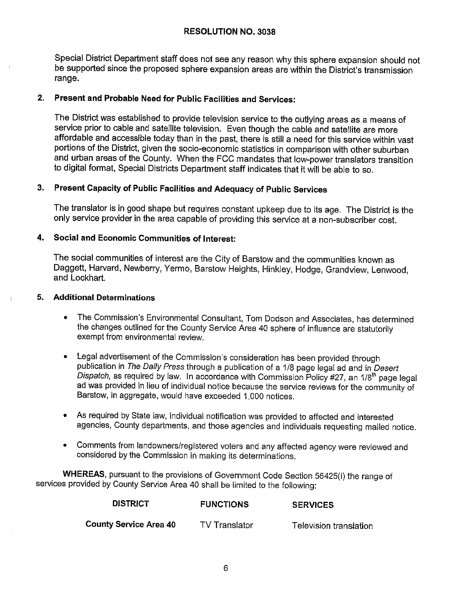#### **RESOLUTION NO. 3038**

Special District Department staff does not see any reason why this sphere expansion should not be supported since the proposed sphere expansion areas are within the District's transmission range.

# **2. Present and Probable Need for Public Facilities and Services:**

The District was established to provide television service to the outlying areas as a means of service prior to cable and satellite television. Even though the cable and satellite are more affordable and accessible today than in the past, there is still a need for this service within vast portions of the District, given the socio-economic statistics in comparison with other suburban and urban areas of the County. When the FCC mandates that low-power translators transition to digital format, Special Districts Department staff indicates that it will be able to so.

# **3. Present Capacity of Public Facilities and Adequacy of Public Services**

The translator is in good shape but requires constant upkeep due to its age. The District is the only service provider in the area capable of providing this service at a non-subscriber cost.

## **4. Social and Economic Communities of Interest:**

The social communities of interest are the City of Barstow and the communities known as Daggett, Harvard, Newberry, Yermo, Barstow Heights, Hinkley, Hodge, Grandview, Lenwood, and Lockhart.

#### **5. Additional Determinations**

- The Commission's Environmental Consultant, Tom Dodson and Associates, has determined the changes outlined for the County Service Area 40 sphere of influence are statutorily exempt from environmental review.
- Legal advertisement of the Commission's consideration has been provided through publication in The Daily Press through a publication of a 1/8 page legal ad and in Desert Dispatch, as required by law. In accordance with Commission Policy #27, an 1/8<sup>th</sup> page legal ad was provided in lieu of individual notice because the service reviews for the community of Barstow, in aggregate, would have exceeded 1,000 notices.
- As required by State law, individual notification was provided to affected and interested agencies, County departments, and those agencies and individuals requesting mailed notice.
- Comments from landowners/registered voters and any affected agency were reviewed and considered by the Commission in making its determinations.

**WHEREAS,** pursuant to the provisions of Government Code Section 56425(i) the range of services provided by County Service Area 40 shall be limited to the following:

| <b>DISTRICT</b>               | <b>FUNCTIONS</b> | <b>SERVICES</b>        |
|-------------------------------|------------------|------------------------|
| <b>County Service Area 40</b> | TV Translator    | Television translation |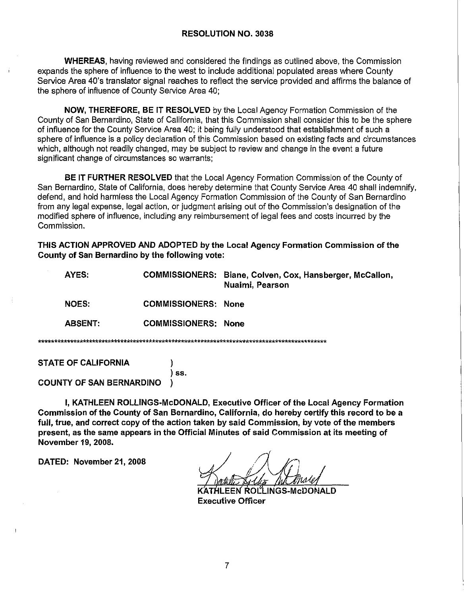**WHEREAS**, having reviewed and considered the findings as outlined above, the Commission expands the sphere of influence to the west to include additional populated areas where County Service Area 40's translator signal reaches to reflect the service provided and affirms the balance of the sphere of influence of County Service Area 40;

**NOW, THEREFORE, BE IT RESOLVED** by the Local Agency Formation Commission of the County of San Bernardino, State of California, that this Commission shall consider this to be the sphere of influence for the County Service Area 40; it being fully understood that establishment of such a sphere of influence is a policy declaration of this Commission based on existing facts and circumstances which, although not readily changed, may be subject to review and change in the event a future significant change of circumstances so warrants;

**BE IT FURTHER RESOLVED** that the Local Agency Formation Commission of the County of San Bernardino, State of California, does hereby determine that County Service Area 40 shall indemnify, defend, and hold harmless the Local Agency Formation Commission of the County of San Bernardino from any legal expense, legal action, or judgment arising out of the Commission's designation of the modified sphere of influence, including any reimbursement of legal fees and costs incurred by the Commission.

THIS ACTION APPROVED AND ADOPTED by the Local Agency Formation Commission of the County of San Bernardino by the following vote:

| AYES:                      |                            | COMMISSIONERS: Biane, Colven, Cox, Hansberger, McCalion,<br>Nuaimi, Pearson |  |  |  |
|----------------------------|----------------------------|-----------------------------------------------------------------------------|--|--|--|
| <b>NOES:</b>               | <b>COMMISSIONERS: None</b> |                                                                             |  |  |  |
| <b>ABSENT:</b>             | <b>COMMISSIONERS:</b>      | <b>None</b>                                                                 |  |  |  |
|                            |                            |                                                                             |  |  |  |
| <b>STATE OF CALIFORNIA</b> |                            |                                                                             |  |  |  |

) ss. **COUNTY OF SAN BERNARDINO** 

I, KATHLEEN ROLLINGS-McDONALD, Executive Officer of the Local Agency Formation Commission of the County of San Bernardino, California, do hereby certify this record to be a full, true, and correct copy of the action taken by said Commission, by vote of the members present, as the same appears in the Official Minutes of said Commission at its meeting of November 19, 2008.

DATED: November 21, 2008

EEN ROLLINGS-McDONALD **Executive Officer**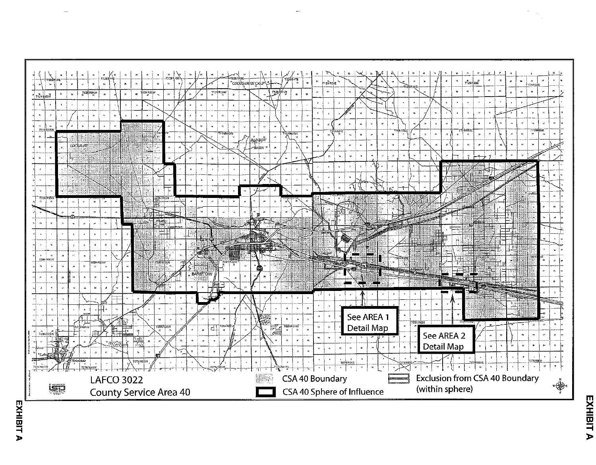

EXHIBIT A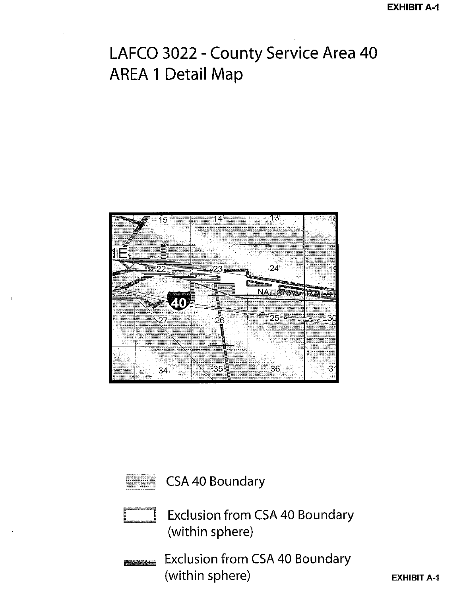# LAFCO 3022 - County Service Area 40 AREA 1 Detail Map





CSA 40 Boundary



Exclusion from CSA 40 Boundary (within sphere)

Exclusion from CSA 40 Boundary **Antonio III** (within sphere)

**EXHIBIT A-1.**